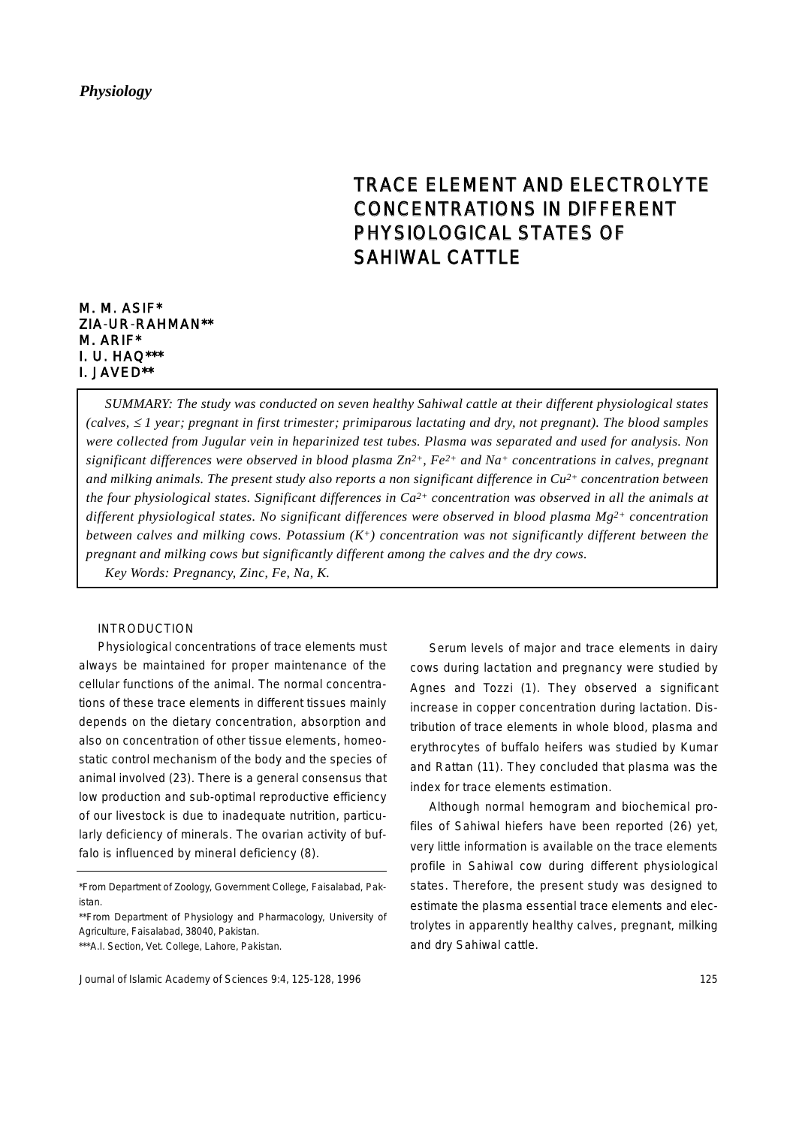# TRACE ELEMENT AND ELECTROLYTE CONCENTRATIONS IN DIFFERENT PHYSIOLOGICAL STATES OF SAHIWAL CATTLE

## M. M. ASIF\* ZIA-UR-RAHMAN\*\* M. ARIF\* I. U. HAQ\*\*\* I. JAVED\*\*

*SUMMARY: The study was conducted on seven healthy Sahiwal cattle at their different physiological states (calves,* <sup>≤</sup> *1 year; pregnant in first trimester; primiparous lactating and dry, not pregnant). The blood samples were collected from Jugular vein in heparinized test tubes. Plasma was separated and used for analysis. Non significant differences were observed in blood plasma Zn2+, Fe2+ and Na+ concentrations in calves, pregnant and milking animals. The present study also reports a non significant difference in Cu2+ concentration between the four physiological states. Significant differences in Ca2+ concentration was observed in all the animals at different physiological states. No significant differences were observed in blood plasma Mg2+ concentration between calves and milking cows. Potassium (K+) concentration was not significantly different between the pregnant and milking cows but significantly different among the calves and the dry cows. Key Words: Pregnancy, Zinc, Fe, Na, K.*

### INTRODUCTION

Physiological concentrations of trace elements must always be maintained for proper maintenance of the cellular functions of the animal. The normal concentrations of these trace elements in different tissues mainly depends on the dietary concentration, absorption and also on concentration of other tissue elements, homeostatic control mechanism of the body and the species of animal involved (23). There is a general consensus that low production and sub-optimal reproductive efficiency of our livestock is due to inadequate nutrition, particularly deficiency of minerals. The ovarian activity of buffalo is influenced by mineral deficiency (8).

\*From Department of Zoology, Government College, Faisalabad, Pakistan.

\*\*From Department of Physiology and Pharmacology, University of Agriculture, Faisalabad, 38040, Pakistan.

\*\*\*A.I. Section, Vet. College, Lahore, Pakistan.

Serum levels of major and trace elements in dairy cows during lactation and pregnancy were studied by Agnes and Tozzi (1). They observed a significant increase in copper concentration during lactation. Distribution of trace elements in whole blood, plasma and erythrocytes of buffalo heifers was studied by Kumar and Rattan (11). They concluded that plasma was the index for trace elements estimation.

Although normal hemogram and biochemical profiles of Sahiwal hiefers have been reported (26) yet, very little information is available on the trace elements profile in Sahiwal cow during different physiological states. Therefore, the present study was designed to estimate the plasma essential trace elements and electrolytes in apparently healthy calves, pregnant, milking and dry Sahiwal cattle.

Journal of Islamic Academy of Sciences 9:4, 125-128, 1996 125 125 125 125 125 125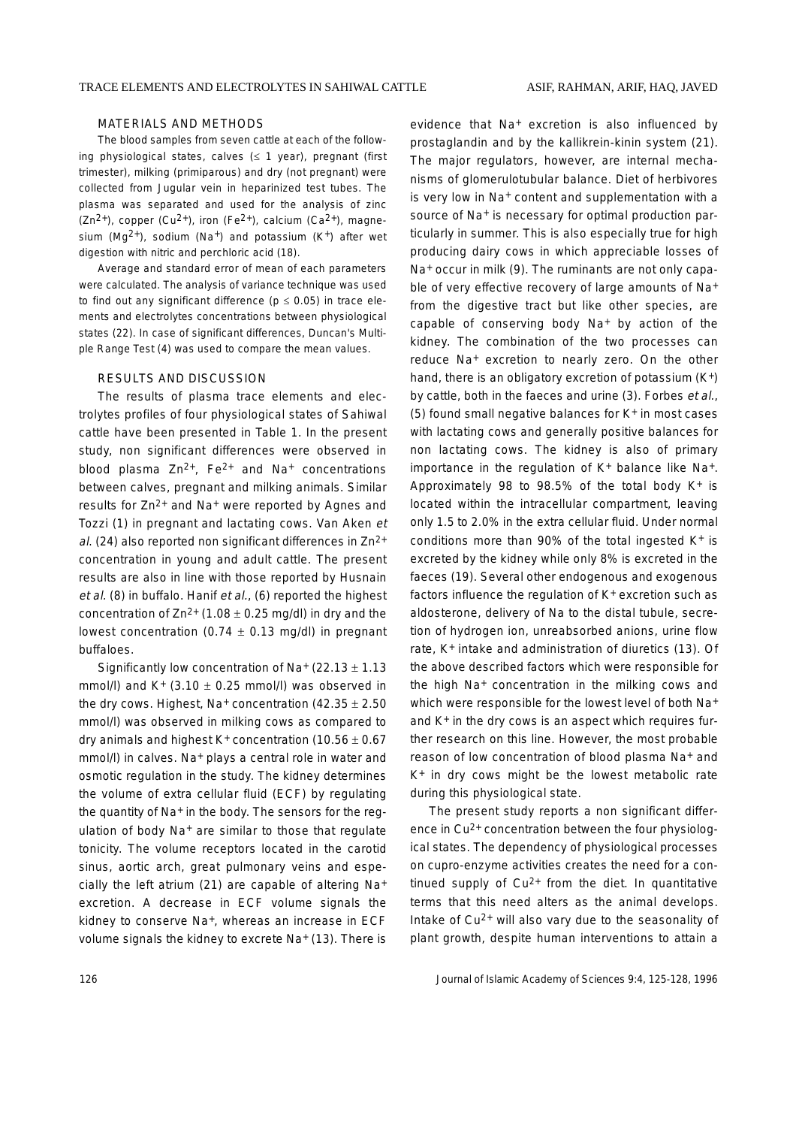#### MATERIALS AND METHODS

The blood samples from seven cattle at each of the following physiological states, calves  $(≤ 1$  year), pregnant (first trimester), milking (primiparous) and dry (not pregnant) were collected from Jugular vein in heparinized test tubes. The plasma was separated and used for the analysis of zinc  $(Zn^{2+})$ , copper  $(Cu^{2+})$ , iron (Fe<sup>2+</sup>), calcium (Ca<sup>2+</sup>), magnesium (Mg<sup>2+</sup>), sodium (Na<sup>+</sup>) and potassium (K<sup>+</sup>) after wet digestion with nitric and perchloric acid (18).

Average and standard error of mean of each parameters were calculated. The analysis of variance technique was used to find out any significant difference ( $p \le 0.05$ ) in trace elements and electrolytes concentrations between physiological states (22). In case of significant differences, Duncan's Multiple Range Test (4) was used to compare the mean values.

#### RESULTS AND DISCUSSION

The results of plasma trace elements and electrolytes profiles of four physiological states of Sahiwal cattle have been presented in Table 1. In the present study, non significant differences were observed in blood plasma  $Zn^{2+}$ , Fe<sup>2+</sup> and Na<sup>+</sup> concentrations between calves, pregnant and milking animals. Similar results for Zn2+ and Na+ were reported by Agnes and Tozzi (1) in pregnant and lactating cows. Van Aken et al. (24) also reported non significant differences in  $Zn^{2+}$ concentration in young and adult cattle. The present results are also in line with those reported by Husnain et al. (8) in buffalo. Hanif et al., (6) reported the highest concentration of  $Zn^{2+}$  (1.08  $\pm$  0.25 mg/dl) in dry and the lowest concentration (0.74  $\pm$  0.13 mg/dl) in pregnant buffaloes.

Significantly low concentration of Na+  $(22.13 \pm 1.13$ mmol/l) and  $K^{+}$  (3.10  $\pm$  0.25 mmol/l) was observed in the dry cows. Highest, Na+ concentration  $(42.35 \pm 2.50)$ mmol/l) was observed in milking cows as compared to dry animals and highest  $K^+$  concentration (10.56  $\pm$  0.67 mmol/l) in calves. Na<sup>+</sup> plays a central role in water and osmotic regulation in the study. The kidney determines the volume of extra cellular fluid (ECF) by regulating the quantity of Na<sup>+</sup> in the body. The sensors for the regulation of body Na+ are similar to those that regulate tonicity. The volume receptors located in the carotid sinus, aortic arch, great pulmonary veins and especially the left atrium (21) are capable of altering Na+ excretion. A decrease in ECF volume signals the kidney to conserve Na<sup>+</sup>, whereas an increase in ECF volume signals the kidney to excrete Na<sup>+</sup> (13). There is

evidence that Na+ excretion is also influenced by prostaglandin and by the kallikrein-kinin system (21). The major regulators, however, are internal mechanisms of glomerulotubular balance. Diet of herbivores is very low in Na<sup>+</sup> content and supplementation with a source of Na<sup>+</sup> is necessary for optimal production particularly in summer. This is also especially true for high producing dairy cows in which appreciable losses of Na+ occur in milk (9). The ruminants are not only capable of very effective recovery of large amounts of Na+ from the digestive tract but like other species, are capable of conserving body Na+ by action of the kidney. The combination of the two processes can reduce Na+ excretion to nearly zero. On the other hand, there is an obligatory excretion of potassium (K+) by cattle, both in the faeces and urine (3). Forbes et al., (5) found small negative balances for K+ in most cases with lactating cows and generally positive balances for non lactating cows. The kidney is also of primary importance in the regulation of K+ balance like Na+. Approximately 98 to 98.5% of the total body  $K^+$  is located within the intracellular compartment, leaving only 1.5 to 2.0% in the extra cellular fluid. Under normal conditions more than 90% of the total ingested  $K^+$  is excreted by the kidney while only 8% is excreted in the faeces (19). Several other endogenous and exogenous factors influence the regulation of K<sup>+</sup> excretion such as aldosterone, delivery of Na to the distal tubule, secretion of hydrogen ion, unreabsorbed anions, urine flow rate, K+ intake and administration of diuretics (13). Of the above described factors which were responsible for the high Na+ concentration in the milking cows and which were responsible for the lowest level of both Na+ and K+ in the dry cows is an aspect which requires further research on this line. However, the most probable reason of low concentration of blood plasma Na+ and K+ in dry cows might be the lowest metabolic rate during this physiological state.

The present study reports a non significant difference in Cu2+ concentration between the four physiological states. The dependency of physiological processes on cupro-enzyme activities creates the need for a continued supply of  $Cu^{2+}$  from the diet. In quantitative terms that this need alters as the animal develops. Intake of Cu2+ will also vary due to the seasonality of plant growth, despite human interventions to attain a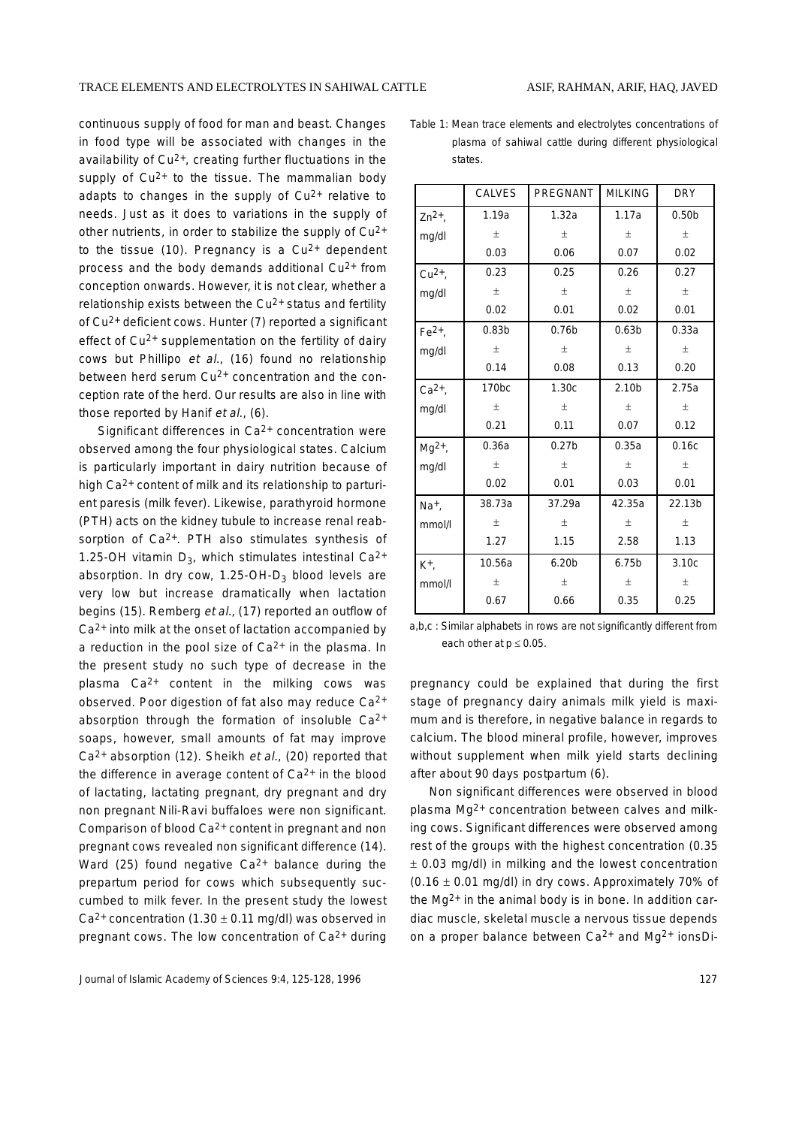continuous supply of food for man and beast. Changes in food type will be associated with changes in the availability of  $Cu<sup>2+</sup>$ , creating further fluctuations in the supply of  $Cu^{2+}$  to the tissue. The mammalian body adapts to changes in the supply of  $Cu^{2+}$  relative to needs. Just as it does to variations in the supply of other nutrients, in order to stabilize the supply of  $Cu^{2+}$ to the tissue (10). Pregnancy is a  $Cu^{2+}$  dependent process and the body demands additional  $Cu^{2+}$  from conception onwards. However, it is not clear, whether a relationship exists between the  $Cu<sup>2+</sup>$  status and fertility of Cu2+ deficient cows. Hunter (7) reported a significant effect of Cu<sup>2+</sup> supplementation on the fertility of dairy cows but Phillipo et al., (16) found no relationship between herd serum Cu<sup>2+</sup> concentration and the conception rate of the herd. Our results are also in line with those reported by Hanif et al., (6).

Significant differences in Ca<sup>2+</sup> concentration were observed among the four physiological states. Calcium is particularly important in dairy nutrition because of high Ca<sup>2+</sup> content of milk and its relationship to parturient paresis (milk fever). Likewise, parathyroid hormone (PTH) acts on the kidney tubule to increase renal reabsorption of Ca<sup>2+</sup>. PTH also stimulates synthesis of 1.25-OH vitamin  $D_3$ , which stimulates intestinal Ca<sup>2+</sup> absorption. In dry cow,  $1.25$ -OH-D<sub>3</sub> blood levels are very low but increase dramatically when lactation begins (15). Remberg et al., (17) reported an outflow of  $Ca<sup>2+</sup>$  into milk at the onset of lactation accompanied by a reduction in the pool size of  $Ca<sup>2+</sup>$  in the plasma. In the present study no such type of decrease in the plasma  $Ca^{2+}$  content in the milking cows was observed. Poor digestion of fat also may reduce  $Ca^{2+}$ absorption through the formation of insoluble  $Ca^{2+}$ soaps, however, small amounts of fat may improve  $Ca<sup>2+</sup>$  absorption (12). Sheikh et al., (20) reported that the difference in average content of  $Ca<sup>2+</sup>$  in the blood of lactating, lactating pregnant, dry pregnant and dry non pregnant Nili-Ravi buffaloes were non significant. Comparison of blood  $Ca^{2+}$  content in pregnant and non pregnant cows revealed non significant difference (14). Ward (25) found negative  $Ca^{2+}$  balance during the prepartum period for cows which subsequently succumbed to milk fever. In the present study the lowest  $Ca^{2+}$  concentration (1.30  $\pm$  0.11 mg/dl) was observed in pregnant cows. The low concentration of  $Ca<sup>2+</sup>$  during Table 1: Mean trace elements and electrolytes concentrations of plasma of sahiwal cattle during different physiological states.

|                  | <b>CALVES</b>     | PREGNANT          | <b>MILKING</b>    | <b>DRY</b>        |
|------------------|-------------------|-------------------|-------------------|-------------------|
| $Zn^{2+}$        | 1.19a             | 1.32a             | 1.17a             | 0.50 <sub>b</sub> |
| mg/dl            | $\pm$             | $\pm$             | $\pm$             | $\pm$             |
|                  | 0.03              | 0.06              | 0.07              | 0.02              |
| $Cu2+$ ,         | 0.23              | 0.25              | 0.26              | 0.27              |
| mg/dl            | $\pm$             | $\pm$             | $\pm$             | $\pm$             |
|                  | 0.02              | 0.01              | 0.02              | 0.01              |
| $Fe2+$ ,         | 0.83 <sub>b</sub> | 0.76 <sub>b</sub> | 0.63 <sub>b</sub> | 0.33a             |
| mg/dl            | $\pm$             | $_{\pm}$          | $\pm$             | 土                 |
|                  | 0.14              | 0.08              | 0.13              | 0.20              |
| $Ca2+$ ,         | 170 <sub>bc</sub> | 1.30c             | 2.10 <sub>b</sub> | 2.75a             |
| mg/dl            | 土                 | $\pm$             | $\pm$             | $\pm$             |
|                  | 0.21              | 0.11              | 0.07              | 0.12              |
| $Mg^{2+}$ ,      | 0.36a             | 0.27 <sub>b</sub> | 0.35a             | 0.16c             |
| mg/dl            | $\pm$             | $\pm$             | $\pm$             | 土                 |
|                  | 0.02              | 0.01              | 0.03              | 0.01              |
| $Na+$ ,          | 38.73a            | 37.29a            | 42.35a            | 22.13b            |
| mmol/l           | 土                 | $\pm$             | $\pm$             | 土                 |
|                  | 1.27              | 1.15              | 2.58              | 1.13              |
| K <sup>+</sup> , | 10.56a            | 6.20 <sub>b</sub> | 6.75 <sub>b</sub> | 3.10c             |
| mmol/l           | 土                 | $\pm$             | $\pm$             | 土                 |
|                  | 0.67              | 0.66              | 0.35              | 0.25              |

a,b,c : Similar alphabets in rows are not significantly different from each other at  $p \le 0.05$ .

pregnancy could be explained that during the first stage of pregnancy dairy animals milk yield is maximum and is therefore, in negative balance in regards to calcium. The blood mineral profile, however, improves without supplement when milk yield starts declining after about 90 days postpartum (6).

Non significant differences were observed in blood plasma Mg2+ concentration between calves and milking cows. Significant differences were observed among rest of the groups with the highest concentration (0.35 ± 0.03 mg/dl) in milking and the lowest concentration  $(0.16 \pm 0.01 \text{ mg/dl})$  in dry cows. Approximately 70% of the  $Mq^{2+}$  in the animal body is in bone. In addition cardiac muscle, skeletal muscle a nervous tissue depends on a proper balance between Ca2+ and Mg2+ ionsDi-